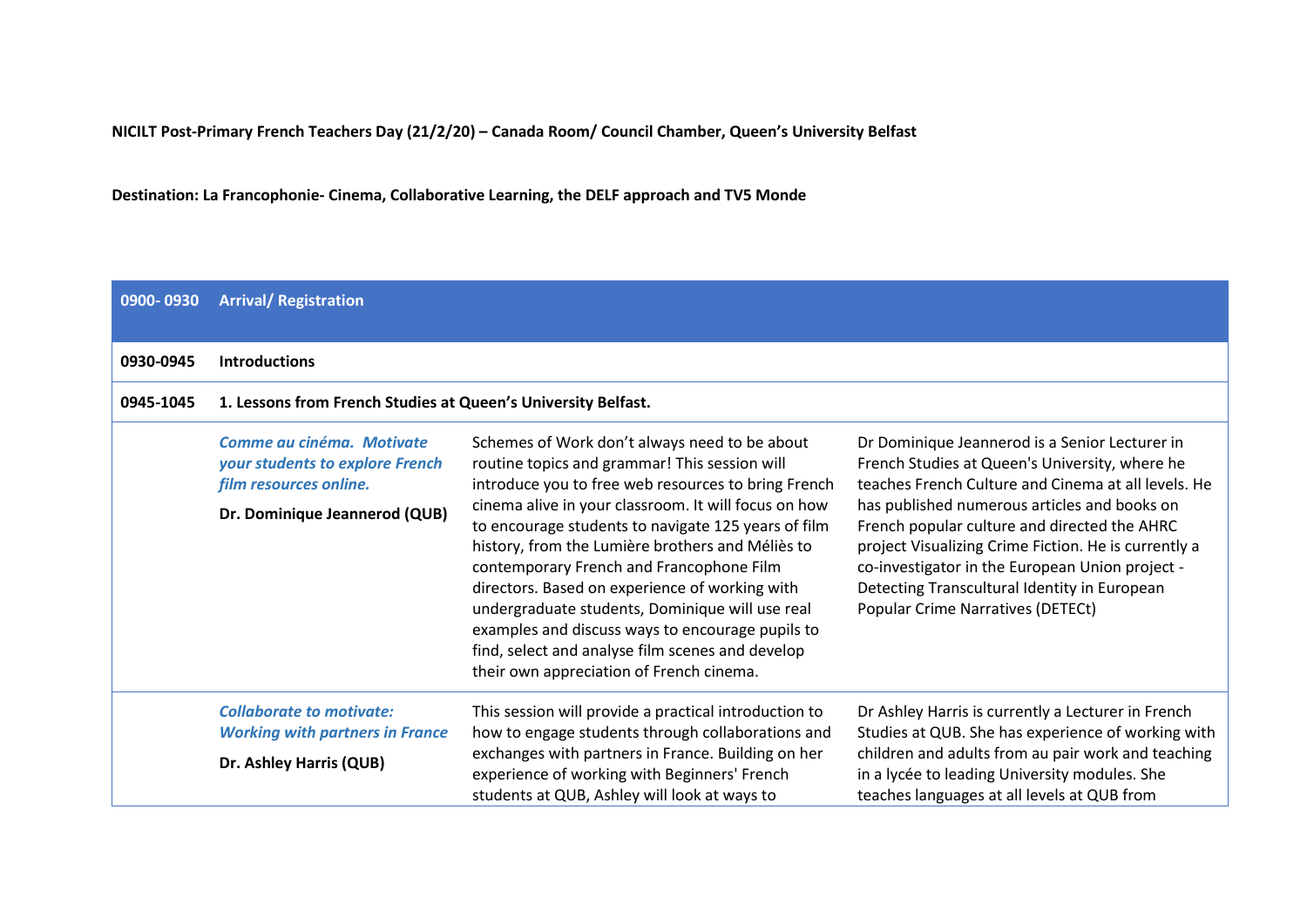**NICILT Post-Primary French Teachers Day (21/2/20) – Canada Room/ Council Chamber, Queen's University Belfast**

**Destination: La Francophonie- Cinema, Collaborative Learning, the DELF approach and TV5 Monde**

| 0900-0930 | <b>Arrival/ Registration</b>                                                                         |                                                                                                                                                                                                                                                                                                                                                                                                                                                                      |                                                                                                                                                                                                                                                                                                     |  |  |  |
|-----------|------------------------------------------------------------------------------------------------------|----------------------------------------------------------------------------------------------------------------------------------------------------------------------------------------------------------------------------------------------------------------------------------------------------------------------------------------------------------------------------------------------------------------------------------------------------------------------|-----------------------------------------------------------------------------------------------------------------------------------------------------------------------------------------------------------------------------------------------------------------------------------------------------|--|--|--|
| 0930-0945 | <b>Introductions</b>                                                                                 |                                                                                                                                                                                                                                                                                                                                                                                                                                                                      |                                                                                                                                                                                                                                                                                                     |  |  |  |
| 0945-1045 | 1. Lessons from French Studies at Queen's University Belfast.                                        |                                                                                                                                                                                                                                                                                                                                                                                                                                                                      |                                                                                                                                                                                                                                                                                                     |  |  |  |
|           | Comme au cinéma. Motivate<br>your students to explore French<br>film resources online.               | Schemes of Work don't always need to be about<br>routine topics and grammar! This session will<br>introduce you to free web resources to bring French                                                                                                                                                                                                                                                                                                                | Dr Dominique Jeannerod is a Senior Lecturer in<br>French Studies at Queen's University, where he<br>teaches French Culture and Cinema at all levels. He                                                                                                                                             |  |  |  |
|           | Dr. Dominique Jeannerod (QUB)                                                                        | cinema alive in your classroom. It will focus on how<br>to encourage students to navigate 125 years of film<br>history, from the Lumière brothers and Méliès to<br>contemporary French and Francophone Film<br>directors. Based on experience of working with<br>undergraduate students, Dominique will use real<br>examples and discuss ways to encourage pupils to<br>find, select and analyse film scenes and develop<br>their own appreciation of French cinema. | has published numerous articles and books on<br>French popular culture and directed the AHRC<br>project Visualizing Crime Fiction. He is currently a<br>co-investigator in the European Union project -<br>Detecting Transcultural Identity in European<br><b>Popular Crime Narratives (DETECt)</b> |  |  |  |
|           | <b>Collaborate to motivate:</b><br><b>Working with partners in France</b><br>Dr. Ashley Harris (QUB) | This session will provide a practical introduction to<br>how to engage students through collaborations and<br>exchanges with partners in France. Building on her<br>experience of working with Beginners' French                                                                                                                                                                                                                                                     | Dr Ashley Harris is currently a Lecturer in French<br>Studies at QUB. She has experience of working with<br>children and adults from au pair work and teaching<br>in a lycée to leading University modules. She                                                                                     |  |  |  |
|           |                                                                                                      | students at QUB, Ashley will look at ways to                                                                                                                                                                                                                                                                                                                                                                                                                         | teaches languages at all levels at QUB from                                                                                                                                                                                                                                                         |  |  |  |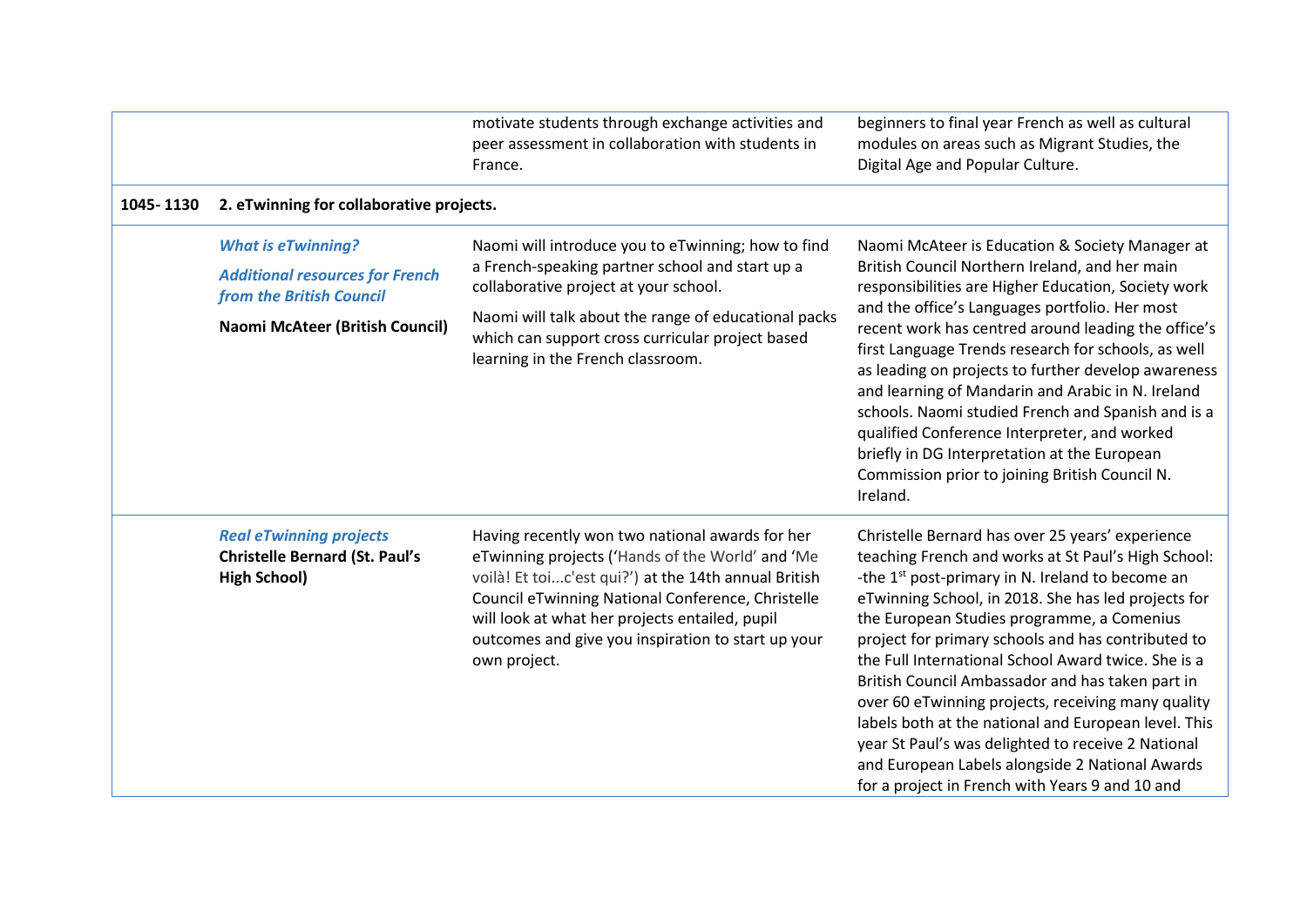|           |                                                                                                | motivate students through exchange activities and<br>peer assessment in collaboration with students in<br>France.                                                                                                                                                                                                                        | beginners to final year French as well as cultural<br>modules on areas such as Migrant Studies, the<br>Digital Age and Popular Culture.                                                                                                                                                                                                                                                                                                                                                                                                                                                                                                                                                                                 |  |  |  |
|-----------|------------------------------------------------------------------------------------------------|------------------------------------------------------------------------------------------------------------------------------------------------------------------------------------------------------------------------------------------------------------------------------------------------------------------------------------------|-------------------------------------------------------------------------------------------------------------------------------------------------------------------------------------------------------------------------------------------------------------------------------------------------------------------------------------------------------------------------------------------------------------------------------------------------------------------------------------------------------------------------------------------------------------------------------------------------------------------------------------------------------------------------------------------------------------------------|--|--|--|
| 1045-1130 | 2. eTwinning for collaborative projects.                                                       |                                                                                                                                                                                                                                                                                                                                          |                                                                                                                                                                                                                                                                                                                                                                                                                                                                                                                                                                                                                                                                                                                         |  |  |  |
|           | <b>What is eTwinning?</b>                                                                      | Naomi will introduce you to eTwinning; how to find<br>a French-speaking partner school and start up a<br>collaborative project at your school.                                                                                                                                                                                           | Naomi McAteer is Education & Society Manager at<br>British Council Northern Ireland, and her main<br>responsibilities are Higher Education, Society work                                                                                                                                                                                                                                                                                                                                                                                                                                                                                                                                                                |  |  |  |
|           | <b>Additional resources for French</b><br>from the British Council                             |                                                                                                                                                                                                                                                                                                                                          |                                                                                                                                                                                                                                                                                                                                                                                                                                                                                                                                                                                                                                                                                                                         |  |  |  |
|           | <b>Naomi McAteer (British Council)</b>                                                         | Naomi will talk about the range of educational packs<br>which can support cross curricular project based<br>learning in the French classroom.                                                                                                                                                                                            | and the office's Languages portfolio. Her most<br>recent work has centred around leading the office's<br>first Language Trends research for schools, as well<br>as leading on projects to further develop awareness<br>and learning of Mandarin and Arabic in N. Ireland<br>schools. Naomi studied French and Spanish and is a<br>qualified Conference Interpreter, and worked<br>briefly in DG Interpretation at the European<br>Commission prior to joining British Council N.<br>Ireland.                                                                                                                                                                                                                            |  |  |  |
|           | <b>Real eTwinning projects</b><br><b>Christelle Bernard (St. Paul's</b><br><b>High School)</b> | Having recently won two national awards for her<br>eTwinning projects ('Hands of the World' and 'Me<br>voilà! Et toic'est qui?') at the 14th annual British<br>Council eTwinning National Conference, Christelle<br>will look at what her projects entailed, pupil<br>outcomes and give you inspiration to start up your<br>own project. | Christelle Bernard has over 25 years' experience<br>teaching French and works at St Paul's High School:<br>-the 1 <sup>st</sup> post-primary in N. Ireland to become an<br>eTwinning School, in 2018. She has led projects for<br>the European Studies programme, a Comenius<br>project for primary schools and has contributed to<br>the Full International School Award twice. She is a<br>British Council Ambassador and has taken part in<br>over 60 eTwinning projects, receiving many quality<br>labels both at the national and European level. This<br>year St Paul's was delighted to receive 2 National<br>and European Labels alongside 2 National Awards<br>for a project in French with Years 9 and 10 and |  |  |  |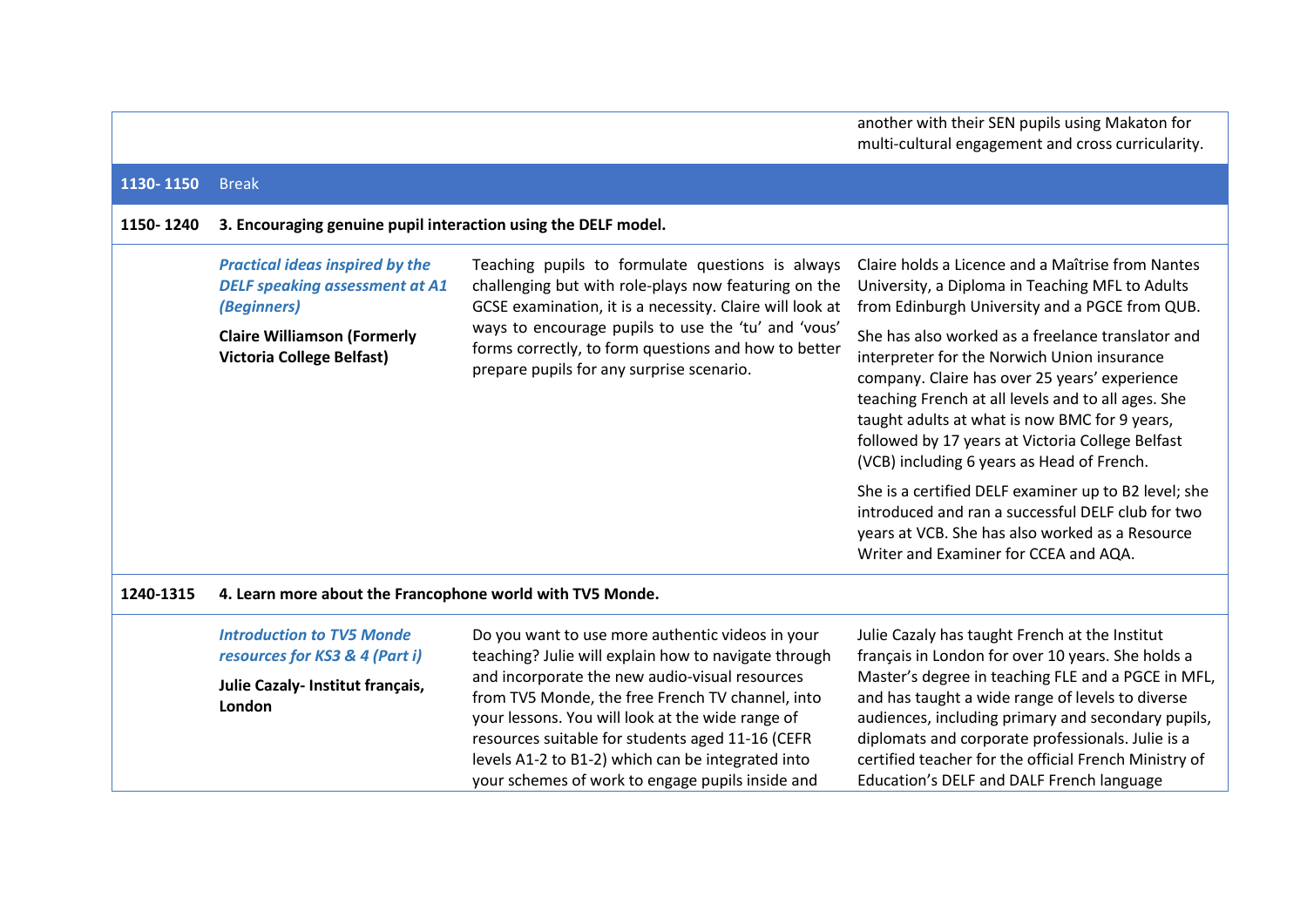another with their SEN pupils using Makaton for multi-cultural engagement and cross curricularity.

## **1130- 1150** Break

## **1150- 1240 3. Encouraging genuine pupil interaction using the DELF model.**

|  | <b>Practical ideas inspired by the</b><br><b>DELF speaking assessment at A1</b><br>(Beginners) | Teaching pupils to formulate questions is always<br>challenging but with role-plays now featuring on the<br>GCSE examination, it is a necessity. Claire will look at<br>ways to encourage pupils to use the 'tu' and 'vous'<br>forms correctly, to form questions and how to better<br>prepare pupils for any surprise scenario. | Claire holds a Licence and a Maîtrise from Nantes<br>University, a Diploma in Teaching MFL to Adults<br>from Edinburgh University and a PGCE from QUB.                                                                                                                                                                                                     |
|--|------------------------------------------------------------------------------------------------|----------------------------------------------------------------------------------------------------------------------------------------------------------------------------------------------------------------------------------------------------------------------------------------------------------------------------------|------------------------------------------------------------------------------------------------------------------------------------------------------------------------------------------------------------------------------------------------------------------------------------------------------------------------------------------------------------|
|  | <b>Claire Williamson (Formerly</b><br><b>Victoria College Belfast)</b>                         |                                                                                                                                                                                                                                                                                                                                  | She has also worked as a freelance translator and<br>interpreter for the Norwich Union insurance<br>company. Claire has over 25 years' experience<br>teaching French at all levels and to all ages. She<br>taught adults at what is now BMC for 9 years,<br>followed by 17 years at Victoria College Belfast<br>(VCB) including 6 years as Head of French. |
|  |                                                                                                |                                                                                                                                                                                                                                                                                                                                  | She is a certified DELF examiner up to B2 level; she<br>introduced and ran a successful DELF club for two<br>years at VCB. She has also worked as a Resource<br>Writer and Examiner for CCEA and AQA.                                                                                                                                                      |

## **1240-1315 4. Learn more about the Francophone world with TV5 Monde.**

*Introduction to TV5 Monde resources for KS3 & 4 (Part i)* **Julie Cazaly- Institut français, London**

Do you want to use more authentic videos in your teaching? Julie will explain how to navigate through and incorporate the new audio-visual resources from TV5 Monde, the free French TV channel, into your lessons. You will look at the wide range of resources suitable for students aged 11-16 (CEFR levels A1-2 to B1-2) which can be integrated into your schemes of work to engage pupils inside and

Julie Cazaly has taught French at the Institut français in London for over 10 years. She holds a Master's degree in teaching FLE and a PGCE in MFL, and has taught a wide range of levels to diverse audiences, including primary and secondary pupils, diplomats and corporate professionals. Julie is a certified teacher for the official French Ministry of Education's DELF and DALF French language